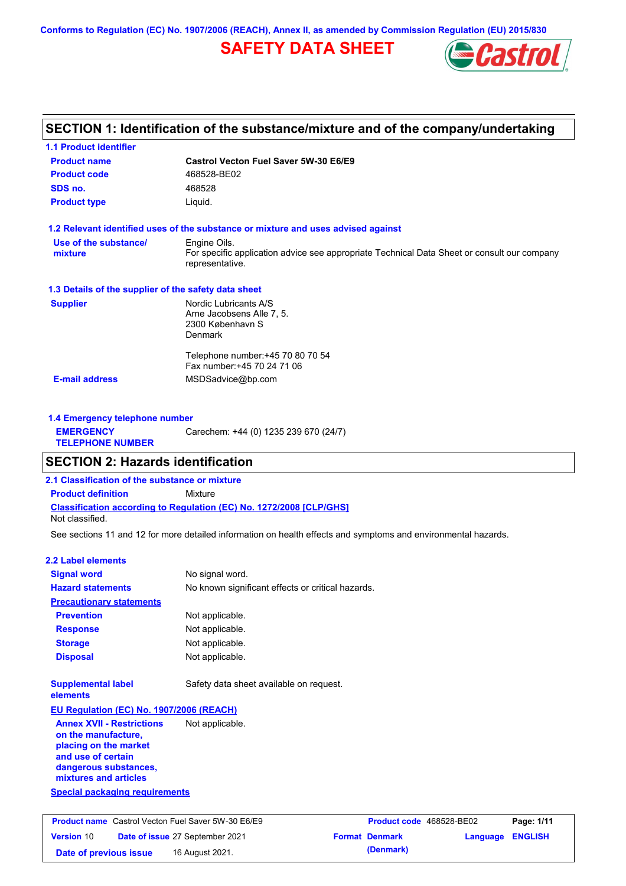**Conforms to Regulation (EC) No. 1907/2006 (REACH), Annex II, as amended by Commission Regulation (EU) 2015/830**

# **SAFETY DATA SHEET**



# **SECTION 1: Identification of the substance/mixture and of the company/undertaking**

| <b>Product name</b>                                  | Castrol Vecton Fuel Saver 5W-30 E6/E9                                                                          |
|------------------------------------------------------|----------------------------------------------------------------------------------------------------------------|
| <b>Product code</b>                                  | 468528-BE02                                                                                                    |
| SDS no.                                              | 468528                                                                                                         |
| <b>Product type</b>                                  | Liquid.                                                                                                        |
|                                                      | 1.2 Relevant identified uses of the substance or mixture and uses advised against                              |
| Use of the substance/                                | Engine Oils.                                                                                                   |
| mixture                                              | For specific application advice see appropriate Technical Data Sheet or consult our company<br>representative. |
| 1.3 Details of the supplier of the safety data sheet |                                                                                                                |
| <b>Supplier</b>                                      | Nordic Lubricants A/S                                                                                          |
|                                                      | Arne Jacobsens Alle 7, 5.                                                                                      |
|                                                      | 2300 København S<br>Denmark                                                                                    |
|                                                      | Telephone number: +45 70 80 70 54                                                                              |
|                                                      | Fax number: +45 70 24 71 06                                                                                    |
|                                                      | MSDSadvice@bp.com                                                                                              |

| 1.4 Emergency telephone number              |                                       |  |
|---------------------------------------------|---------------------------------------|--|
| <b>EMERGENCY</b><br><b>TELEPHONE NUMBER</b> | Carechem: +44 (0) 1235 239 670 (24/7) |  |

# **SECTION 2: Hazards identification**

**2.1 Classification of the substance or mixture**

**Classification according to Regulation (EC) No. 1272/2008 [CLP/GHS] Product definition** Mixture

**Date of issue** 27 September 2021

**Date of previous issue 16 August 2021.** 

Not classified.

See sections 11 and 12 for more detailed information on health effects and symptoms and environmental hazards.

## **2.2 Label elements**

**Version** 10

| <b>Signal word</b>                                                                                                                                       | No signal word.                                                                                     |  |  |
|----------------------------------------------------------------------------------------------------------------------------------------------------------|-----------------------------------------------------------------------------------------------------|--|--|
| <b>Hazard statements</b>                                                                                                                                 | No known significant effects or critical hazards.                                                   |  |  |
| <b>Precautionary statements</b>                                                                                                                          |                                                                                                     |  |  |
| <b>Prevention</b>                                                                                                                                        | Not applicable.                                                                                     |  |  |
| <b>Response</b>                                                                                                                                          | Not applicable.                                                                                     |  |  |
| <b>Storage</b>                                                                                                                                           | Not applicable.                                                                                     |  |  |
| <b>Disposal</b>                                                                                                                                          | Not applicable.                                                                                     |  |  |
| <b>Supplemental label</b><br>elements                                                                                                                    | Safety data sheet available on request.                                                             |  |  |
| EU Regulation (EC) No. 1907/2006 (REACH)                                                                                                                 |                                                                                                     |  |  |
| <b>Annex XVII - Restrictions</b><br>on the manufacture.<br>placing on the market<br>and use of certain<br>dangerous substances,<br>mixtures and articles | Not applicable.                                                                                     |  |  |
| <b>Special packaging requirements</b>                                                                                                                    |                                                                                                     |  |  |
|                                                                                                                                                          | <b>Product name</b> Castrol Vecton Fuel Saver 5W-30 E6/E9<br>Product code 468528-BE02<br>Page: 1/11 |  |  |

| Product code 468528-BE02 |                         | Page: 1/11 |
|--------------------------|-------------------------|------------|
| <b>Format Denmark</b>    | <b>Language ENGLISH</b> |            |
| (Denmark)                |                         |            |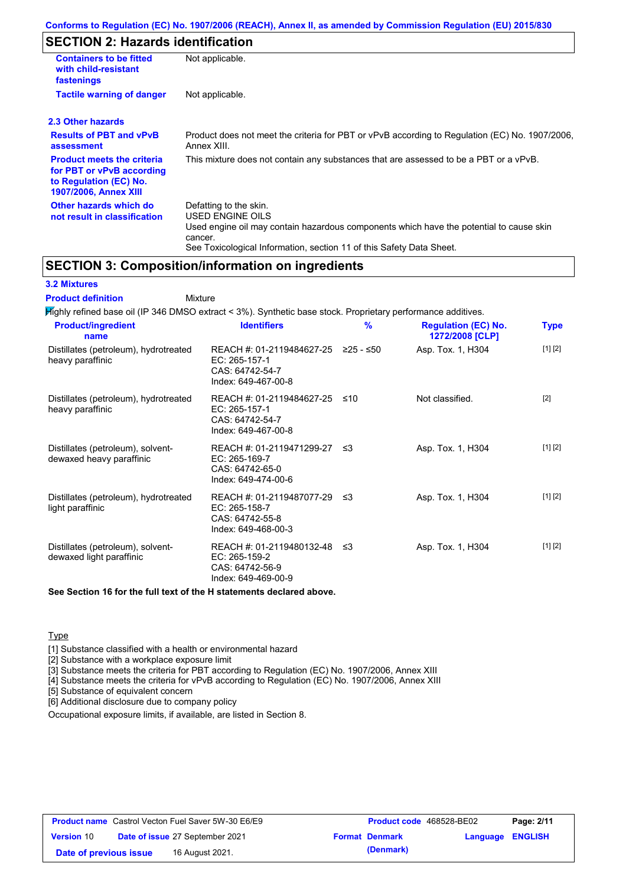# **SECTION 2: Hazards identification**

| <b>Containers to be fitted</b><br>with child-resistant<br>fastenings                                                     | Not applicable.                                                                                                                                                                                                          |
|--------------------------------------------------------------------------------------------------------------------------|--------------------------------------------------------------------------------------------------------------------------------------------------------------------------------------------------------------------------|
| <b>Tactile warning of danger</b>                                                                                         | Not applicable.                                                                                                                                                                                                          |
| 2.3 Other hazards                                                                                                        |                                                                                                                                                                                                                          |
| <b>Results of PBT and vPvB</b><br>assessment                                                                             | Product does not meet the criteria for PBT or vPvB according to Regulation (EC) No. 1907/2006,<br>Annex XIII.                                                                                                            |
| <b>Product meets the criteria</b><br>for PBT or vPvB according<br>to Regulation (EC) No.<br><b>1907/2006, Annex XIII</b> | This mixture does not contain any substances that are assessed to be a PBT or a vPvB.                                                                                                                                    |
| Other hazards which do<br>not result in classification                                                                   | Defatting to the skin.<br>USED ENGINE OILS<br>Used engine oil may contain hazardous components which have the potential to cause skin<br>cancer.<br>See Toxicological Information, section 11 of this Safety Data Sheet. |

# **SECTION 3: Composition/information on ingredients**

#### **3.2 Mixtures**

Mixture **Product definition**

| <b>Identifiers</b>                                      | $\frac{9}{6}$                                                        | <b>Regulation (EC) No.</b><br>1272/2008 [CLP]                                                                                                                        | <b>Type</b>                                                                                                  |
|---------------------------------------------------------|----------------------------------------------------------------------|----------------------------------------------------------------------------------------------------------------------------------------------------------------------|--------------------------------------------------------------------------------------------------------------|
| EC: 265-157-1<br>CAS: 64742-54-7<br>Index: 649-467-00-8 |                                                                      | Asp. Tox. 1, H304                                                                                                                                                    | [1] [2]                                                                                                      |
| EC: 265-157-1<br>CAS: 64742-54-7<br>Index: 649-467-00-8 |                                                                      | Not classified.                                                                                                                                                      | $[2]$                                                                                                        |
| EC: 265-169-7<br>CAS: 64742-65-0<br>Index: 649-474-00-6 |                                                                      | Asp. Tox. 1, H304                                                                                                                                                    | [1] [2]                                                                                                      |
| EC: 265-158-7<br>CAS: 64742-55-8<br>Index: 649-468-00-3 |                                                                      | Asp. Tox. 1, H304                                                                                                                                                    | [1] [2]                                                                                                      |
| EC: 265-159-2<br>CAS: 64742-56-9<br>Index: 649-469-00-9 |                                                                      | Asp. Tox. 1, H304                                                                                                                                                    | [1] [2]                                                                                                      |
|                                                         |                                                                      |                                                                                                                                                                      |                                                                                                              |
|                                                         | See Section 16 for the full text of the H statements declared above. | REACH #: 01-2119484627-25 ≥25 - ≤50<br>REACH #: 01-2119484627-25 ≤10<br>REACH #: 01-2119471299-27 ≤3<br>REACH #: 01-2119487077-29 ≤3<br>REACH #: 01-2119480132-48 ≤3 | Mighly refined base oil (IP 346 DMSO extract < 3%). Synthetic base stock. Proprietary performance additives. |

**Type** 

[1] Substance classified with a health or environmental hazard

[2] Substance with a workplace exposure limit

[3] Substance meets the criteria for PBT according to Regulation (EC) No. 1907/2006, Annex XIII

[4] Substance meets the criteria for vPvB according to Regulation (EC) No. 1907/2006, Annex XIII

[5] Substance of equivalent concern

[6] Additional disclosure due to company policy

Occupational exposure limits, if available, are listed in Section 8.

|                        | <b>Product name</b> Castrol Vecton Fuel Saver 5W-30 E6/E9 | <b>Product code</b> 468528-BE02 |                         | Page: 2/11 |
|------------------------|-----------------------------------------------------------|---------------------------------|-------------------------|------------|
| <b>Version 10</b>      | <b>Date of issue 27 September 2021</b>                    | <b>Format Denmark</b>           | <b>Language ENGLISH</b> |            |
| Date of previous issue | 16 August 2021.                                           | (Denmark)                       |                         |            |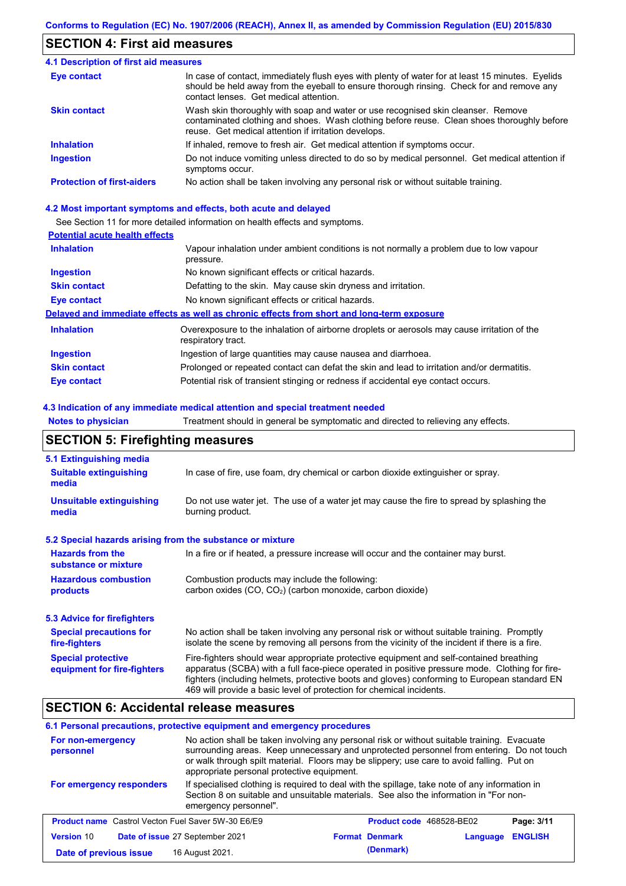# **SECTION 4: First aid measures**

#### Do not induce vomiting unless directed to do so by medical personnel. Get medical attention if symptoms occur. In case of contact, immediately flush eyes with plenty of water for at least 15 minutes. Eyelids should be held away from the eyeball to ensure thorough rinsing. Check for and remove any contact lenses. Get medical attention. **4.1 Description of first aid measures** If inhaled, remove to fresh air. Get medical attention if symptoms occur. **Ingestion Inhalation Eye contact Protection of first-aiders** No action shall be taken involving any personal risk or without suitable training. **Skin contact** Wash skin thoroughly with soap and water or use recognised skin cleanser. Remove contaminated clothing and shoes. Wash clothing before reuse. Clean shoes thoroughly before reuse. Get medical attention if irritation develops.

#### **4.2 Most important symptoms and effects, both acute and delayed**

See Section 11 for more detailed information on health effects and symptoms.

## **Potential acute health effects**

| <b>Inhalation</b>   | Vapour inhalation under ambient conditions is not normally a problem due to low vapour                            |  |  |
|---------------------|-------------------------------------------------------------------------------------------------------------------|--|--|
|                     | pressure.                                                                                                         |  |  |
| <b>Ingestion</b>    | No known significant effects or critical hazards.                                                                 |  |  |
| <b>Skin contact</b> | Defatting to the skin. May cause skin dryness and irritation.                                                     |  |  |
| Eye contact         | No known significant effects or critical hazards.                                                                 |  |  |
|                     | Delayed and immediate effects as well as chronic effects from short and long-term exposure                        |  |  |
| <b>Inhalation</b>   | Overexposure to the inhalation of airborne droplets or aerosols may cause irritation of the<br>respiratory tract. |  |  |
| <b>Ingestion</b>    | Ingestion of large quantities may cause nausea and diarrhoea.                                                     |  |  |
| <b>Skin contact</b> | Prolonged or repeated contact can defat the skin and lead to irritation and/or dermatitis.                        |  |  |
| Eye contact         | Potential risk of transient stinging or redness if accidental eye contact occurs.                                 |  |  |

#### **4.3 Indication of any immediate medical attention and special treatment needed**

**Notes to physician** Treatment should in general be symptomatic and directed to relieving any effects.

# **SECTION 5: Firefighting measures**

| 5.1 Extinguishing media                                                                                                                                  |                                                                                                                                                                                                                                                                                                                                                                   |  |  |
|----------------------------------------------------------------------------------------------------------------------------------------------------------|-------------------------------------------------------------------------------------------------------------------------------------------------------------------------------------------------------------------------------------------------------------------------------------------------------------------------------------------------------------------|--|--|
| <b>Suitable extinguishing</b><br>media                                                                                                                   | In case of fire, use foam, dry chemical or carbon dioxide extinguisher or spray.                                                                                                                                                                                                                                                                                  |  |  |
| <b>Unsuitable extinguishing</b><br>media                                                                                                                 | Do not use water jet. The use of a water jet may cause the fire to spread by splashing the<br>burning product.                                                                                                                                                                                                                                                    |  |  |
| 5.2 Special hazards arising from the substance or mixture                                                                                                |                                                                                                                                                                                                                                                                                                                                                                   |  |  |
| <b>Hazards from the</b><br>In a fire or if heated, a pressure increase will occur and the container may burst.<br>substance or mixture                   |                                                                                                                                                                                                                                                                                                                                                                   |  |  |
| <b>Hazardous combustion</b><br>Combustion products may include the following:<br>carbon oxides $(CO, CO2)$ (carbon monoxide, carbon dioxide)<br>products |                                                                                                                                                                                                                                                                                                                                                                   |  |  |
| 5.3 Advice for firefighters                                                                                                                              |                                                                                                                                                                                                                                                                                                                                                                   |  |  |
| <b>Special precautions for</b><br>fire-fighters                                                                                                          | No action shall be taken involving any personal risk or without suitable training. Promptly<br>isolate the scene by removing all persons from the vicinity of the incident if there is a fire.                                                                                                                                                                    |  |  |
| <b>Special protective</b><br>equipment for fire-fighters                                                                                                 | Fire-fighters should wear appropriate protective equipment and self-contained breathing<br>apparatus (SCBA) with a full face-piece operated in positive pressure mode. Clothing for fire-<br>fighters (including helmets, protective boots and gloves) conforming to European standard EN<br>469 will provide a basic level of protection for chemical incidents. |  |  |

# **SECTION 6: Accidental release measures**

#### **6.1 Personal precautions, protective equipment and emergency procedures**

| For non-emergency<br>personnel                            | No action shall be taken involving any personal risk or without suitable training. Evacuate<br>surrounding areas. Keep unnecessary and unprotected personnel from entering. Do not touch<br>or walk through spilt material. Floors may be slippery; use care to avoid falling. Put on<br>appropriate personal protective equipment. |                                 |          |                |
|-----------------------------------------------------------|-------------------------------------------------------------------------------------------------------------------------------------------------------------------------------------------------------------------------------------------------------------------------------------------------------------------------------------|---------------------------------|----------|----------------|
| For emergency responders                                  | If specialised clothing is required to deal with the spillage, take note of any information in<br>Section 8 on suitable and unsuitable materials. See also the information in "For non-<br>emergency personnel".                                                                                                                    |                                 |          |                |
| <b>Product name</b> Castrol Vecton Fuel Saver 5W-30 E6/E9 |                                                                                                                                                                                                                                                                                                                                     | <b>Product code</b> 468528-BE02 |          | Page: 3/11     |
| Version 10                                                | Date of issue 27 September 2021                                                                                                                                                                                                                                                                                                     | <b>Format Denmark</b>           | Language | <b>ENGLISH</b> |
| Date of previous issue                                    | 16 August 2021.                                                                                                                                                                                                                                                                                                                     | (Denmark)                       |          |                |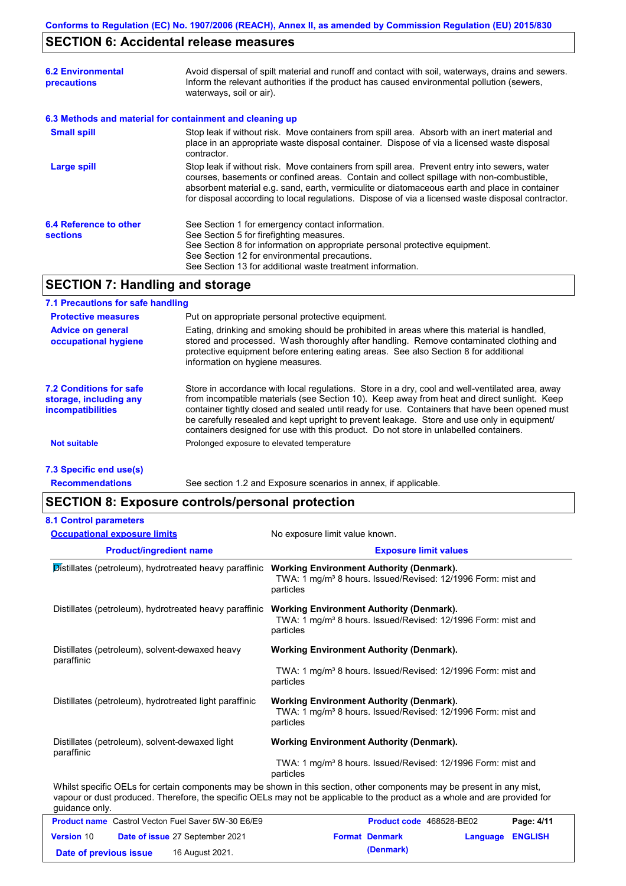# **SECTION 6: Accidental release measures**

| <b>6.2 Environmental</b><br>precautions                  | Avoid dispersal of spilt material and runoff and contact with soil, waterways, drains and sewers.<br>Inform the relevant authorities if the product has caused environmental pollution (sewers,<br>waterways, soil or air).                                                                                                                                                                    |  |  |
|----------------------------------------------------------|------------------------------------------------------------------------------------------------------------------------------------------------------------------------------------------------------------------------------------------------------------------------------------------------------------------------------------------------------------------------------------------------|--|--|
| 6.3 Methods and material for containment and cleaning up |                                                                                                                                                                                                                                                                                                                                                                                                |  |  |
| <b>Small spill</b>                                       | Stop leak if without risk. Move containers from spill area. Absorb with an inert material and<br>place in an appropriate waste disposal container. Dispose of via a licensed waste disposal<br>contractor.                                                                                                                                                                                     |  |  |
| Large spill                                              | Stop leak if without risk. Move containers from spill area. Prevent entry into sewers, water<br>courses, basements or confined areas. Contain and collect spillage with non-combustible,<br>absorbent material e.g. sand, earth, vermiculite or diatomaceous earth and place in container<br>for disposal according to local regulations. Dispose of via a licensed waste disposal contractor. |  |  |
| 6.4 Reference to other<br><b>sections</b>                | See Section 1 for emergency contact information.<br>See Section 5 for firefighting measures.<br>See Section 8 for information on appropriate personal protective equipment.<br>See Section 12 for environmental precautions.<br>See Section 13 for additional waste treatment information.                                                                                                     |  |  |

# **SECTION 7: Handling and storage**

## **7.1 Precautions for safe handling**

| <b>Protective measures</b>                                                           | Put on appropriate personal protective equipment.                                                                                                                                                                                                                                                                                                                                                                                                                                        |  |
|--------------------------------------------------------------------------------------|------------------------------------------------------------------------------------------------------------------------------------------------------------------------------------------------------------------------------------------------------------------------------------------------------------------------------------------------------------------------------------------------------------------------------------------------------------------------------------------|--|
| <b>Advice on general</b><br>occupational hygiene                                     | Eating, drinking and smoking should be prohibited in areas where this material is handled,<br>stored and processed. Wash thoroughly after handling. Remove contaminated clothing and<br>protective equipment before entering eating areas. See also Section 8 for additional<br>information on hygiene measures.                                                                                                                                                                         |  |
| <b>7.2 Conditions for safe</b><br>storage, including any<br><i>incompatibilities</i> | Store in accordance with local regulations. Store in a dry, cool and well-ventilated area, away<br>from incompatible materials (see Section 10). Keep away from heat and direct sunlight. Keep<br>container tightly closed and sealed until ready for use. Containers that have been opened must<br>be carefully resealed and kept upright to prevent leakage. Store and use only in equipment/<br>containers designed for use with this product. Do not store in unlabelled containers. |  |
| <b>Not suitable</b>                                                                  | Prolonged exposure to elevated temperature                                                                                                                                                                                                                                                                                                                                                                                                                                               |  |
|                                                                                      |                                                                                                                                                                                                                                                                                                                                                                                                                                                                                          |  |

## **7.3 Specific end use(s)**

**Recommendations**

See section 1.2 and Exposure scenarios in annex, if applicable.

# **SECTION 8: Exposure controls/personal protection**

| <b>8.1 Control parameters</b>                                                                          |                                                                                                                                                                                                                                                      |  |  |
|--------------------------------------------------------------------------------------------------------|------------------------------------------------------------------------------------------------------------------------------------------------------------------------------------------------------------------------------------------------------|--|--|
| <b>Occupational exposure limits</b>                                                                    | No exposure limit value known.                                                                                                                                                                                                                       |  |  |
| <b>Product/ingredient name</b>                                                                         | <b>Exposure limit values</b>                                                                                                                                                                                                                         |  |  |
| <b>Distillates (petroleum), hydrotreated heavy paraffinic Working Environment Authority (Denmark).</b> | TWA: 1 mg/m <sup>3</sup> 8 hours. Issued/Revised: 12/1996 Form: mist and<br>particles                                                                                                                                                                |  |  |
| Distillates (petroleum), hydrotreated heavy paraffinic                                                 | <b>Working Environment Authority (Denmark).</b><br>TWA: 1 mg/m <sup>3</sup> 8 hours. Issued/Revised: 12/1996 Form: mist and<br>particles                                                                                                             |  |  |
| Distillates (petroleum), solvent-dewaxed heavy<br>paraffinic                                           | <b>Working Environment Authority (Denmark).</b><br>TWA: 1 mg/m <sup>3</sup> 8 hours. Issued/Revised: 12/1996 Form: mist and<br>particles                                                                                                             |  |  |
| Distillates (petroleum), hydrotreated light paraffinic                                                 | <b>Working Environment Authority (Denmark).</b><br>TWA: 1 mg/m <sup>3</sup> 8 hours. Issued/Revised: 12/1996 Form: mist and<br>particles                                                                                                             |  |  |
| Distillates (petroleum), solvent-dewaxed light<br>paraffinic                                           | <b>Working Environment Authority (Denmark).</b><br>TWA: 1 mg/m <sup>3</sup> 8 hours. Issued/Revised: 12/1996 Form: mist and<br>particles                                                                                                             |  |  |
| guidance only.                                                                                         | Whilst specific OELs for certain components may be shown in this section, other components may be present in any mist,<br>vapour or dust produced. Therefore, the specific OELs may not be applicable to the product as a whole and are provided for |  |  |

|                        | <b>Product name</b> Castrol Vecton Fuel Saver 5W-30 E6/E9 | <b>Product code</b> 468528-BE02 |                         | Page: 4/11 |
|------------------------|-----------------------------------------------------------|---------------------------------|-------------------------|------------|
| <b>Version 10</b>      | <b>Date of issue 27 September 2021</b>                    | <b>Format Denmark</b>           | <b>Language ENGLISH</b> |            |
| Date of previous issue | 16 August 2021.                                           | (Denmark)                       |                         |            |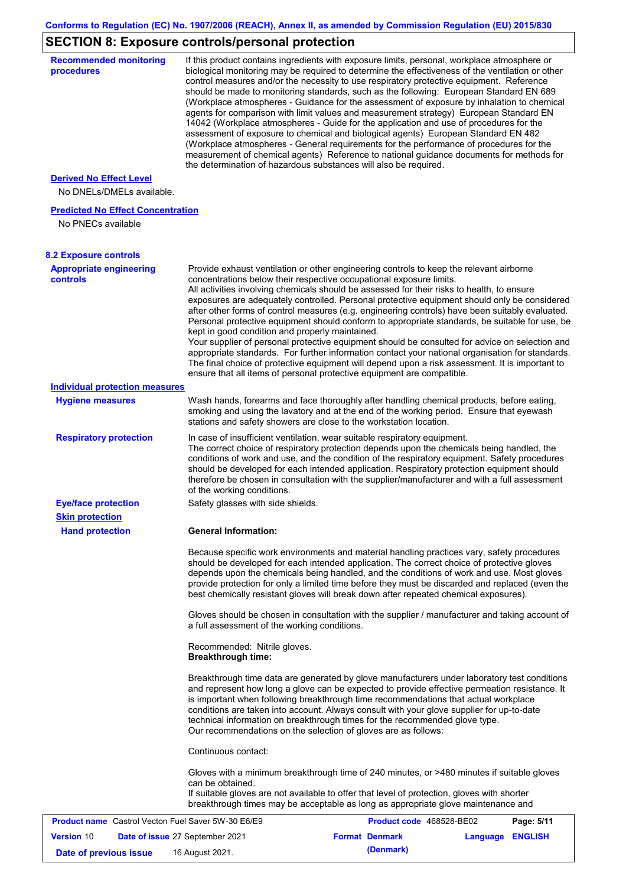# **SECTION 8: Exposure controls/personal protection**

| <b>Recommended monitoring</b><br>procedures                    |                                                           | If this product contains ingredients with exposure limits, personal, workplace atmosphere or<br>biological monitoring may be required to determine the effectiveness of the ventilation or other<br>control measures and/or the necessity to use respiratory protective equipment. Reference<br>should be made to monitoring standards, such as the following: European Standard EN 689<br>(Workplace atmospheres - Guidance for the assessment of exposure by inhalation to chemical<br>agents for comparison with limit values and measurement strategy) European Standard EN<br>14042 (Workplace atmospheres - Guide for the application and use of procedures for the<br>assessment of exposure to chemical and biological agents) European Standard EN 482<br>(Workplace atmospheres - General requirements for the performance of procedures for the<br>measurement of chemical agents) Reference to national guidance documents for methods for<br>the determination of hazardous substances will also be required. |                  |            |
|----------------------------------------------------------------|-----------------------------------------------------------|----------------------------------------------------------------------------------------------------------------------------------------------------------------------------------------------------------------------------------------------------------------------------------------------------------------------------------------------------------------------------------------------------------------------------------------------------------------------------------------------------------------------------------------------------------------------------------------------------------------------------------------------------------------------------------------------------------------------------------------------------------------------------------------------------------------------------------------------------------------------------------------------------------------------------------------------------------------------------------------------------------------------------|------------------|------------|
| <b>Derived No Effect Level</b><br>No DNELs/DMELs available.    |                                                           |                                                                                                                                                                                                                                                                                                                                                                                                                                                                                                                                                                                                                                                                                                                                                                                                                                                                                                                                                                                                                            |                  |            |
| <b>Predicted No Effect Concentration</b><br>No PNECs available |                                                           |                                                                                                                                                                                                                                                                                                                                                                                                                                                                                                                                                                                                                                                                                                                                                                                                                                                                                                                                                                                                                            |                  |            |
| <b>8.2 Exposure controls</b>                                   |                                                           |                                                                                                                                                                                                                                                                                                                                                                                                                                                                                                                                                                                                                                                                                                                                                                                                                                                                                                                                                                                                                            |                  |            |
| <b>Appropriate engineering</b><br><b>controls</b>              | kept in good condition and properly maintained.           | Provide exhaust ventilation or other engineering controls to keep the relevant airborne<br>concentrations below their respective occupational exposure limits.<br>All activities involving chemicals should be assessed for their risks to health, to ensure<br>exposures are adequately controlled. Personal protective equipment should only be considered<br>after other forms of control measures (e.g. engineering controls) have been suitably evaluated.<br>Personal protective equipment should conform to appropriate standards, be suitable for use, be<br>Your supplier of personal protective equipment should be consulted for advice on selection and<br>appropriate standards. For further information contact your national organisation for standards.<br>The final choice of protective equipment will depend upon a risk assessment. It is important to<br>ensure that all items of personal protective equipment are compatible.                                                                       |                  |            |
| <b>Individual protection measures</b>                          |                                                           |                                                                                                                                                                                                                                                                                                                                                                                                                                                                                                                                                                                                                                                                                                                                                                                                                                                                                                                                                                                                                            |                  |            |
| <b>Hygiene measures</b>                                        |                                                           | Wash hands, forearms and face thoroughly after handling chemical products, before eating,<br>smoking and using the lavatory and at the end of the working period. Ensure that eyewash<br>stations and safety showers are close to the workstation location.                                                                                                                                                                                                                                                                                                                                                                                                                                                                                                                                                                                                                                                                                                                                                                |                  |            |
| <b>Respiratory protection</b>                                  | of the working conditions.                                | In case of insufficient ventilation, wear suitable respiratory equipment.<br>The correct choice of respiratory protection depends upon the chemicals being handled, the<br>conditions of work and use, and the condition of the respiratory equipment. Safety procedures<br>should be developed for each intended application. Respiratory protection equipment should<br>therefore be chosen in consultation with the supplier/manufacturer and with a full assessment                                                                                                                                                                                                                                                                                                                                                                                                                                                                                                                                                    |                  |            |
| <b>Eye/face protection</b>                                     | Safety glasses with side shields.                         |                                                                                                                                                                                                                                                                                                                                                                                                                                                                                                                                                                                                                                                                                                                                                                                                                                                                                                                                                                                                                            |                  |            |
| <b>Skin protection</b><br><b>Hand protection</b>               | <b>General Information:</b>                               |                                                                                                                                                                                                                                                                                                                                                                                                                                                                                                                                                                                                                                                                                                                                                                                                                                                                                                                                                                                                                            |                  |            |
|                                                                |                                                           | Because specific work environments and material handling practices vary, safety procedures<br>should be developed for each intended application. The correct choice of protective gloves<br>depends upon the chemicals being handled, and the conditions of work and use. Most gloves<br>provide protection for only a limited time before they must be discarded and replaced (even the<br>best chemically resistant gloves will break down after repeated chemical exposures).                                                                                                                                                                                                                                                                                                                                                                                                                                                                                                                                           |                  |            |
|                                                                | a full assessment of the working conditions.              | Gloves should be chosen in consultation with the supplier / manufacturer and taking account of                                                                                                                                                                                                                                                                                                                                                                                                                                                                                                                                                                                                                                                                                                                                                                                                                                                                                                                             |                  |            |
|                                                                | Recommended: Nitrile gloves.<br><b>Breakthrough time:</b> |                                                                                                                                                                                                                                                                                                                                                                                                                                                                                                                                                                                                                                                                                                                                                                                                                                                                                                                                                                                                                            |                  |            |
|                                                                |                                                           | Breakthrough time data are generated by glove manufacturers under laboratory test conditions<br>and represent how long a glove can be expected to provide effective permeation resistance. It<br>is important when following breakthrough time recommendations that actual workplace<br>conditions are taken into account. Always consult with your glove supplier for up-to-date<br>technical information on breakthrough times for the recommended glove type.<br>Our recommendations on the selection of gloves are as follows:                                                                                                                                                                                                                                                                                                                                                                                                                                                                                         |                  |            |
|                                                                | Continuous contact:                                       |                                                                                                                                                                                                                                                                                                                                                                                                                                                                                                                                                                                                                                                                                                                                                                                                                                                                                                                                                                                                                            |                  |            |
|                                                                | can be obtained.                                          | Gloves with a minimum breakthrough time of 240 minutes, or >480 minutes if suitable gloves<br>If suitable gloves are not available to offer that level of protection, gloves with shorter<br>breakthrough times may be acceptable as long as appropriate glove maintenance and                                                                                                                                                                                                                                                                                                                                                                                                                                                                                                                                                                                                                                                                                                                                             |                  |            |
| <b>Product name</b> Castrol Vecton Fuel Saver 5W-30 E6/E9      |                                                           | Product code 468528-BE02                                                                                                                                                                                                                                                                                                                                                                                                                                                                                                                                                                                                                                                                                                                                                                                                                                                                                                                                                                                                   |                  | Page: 5/11 |
| <b>Version 10</b>                                              | Date of issue 27 September 2021                           | <b>Format Denmark</b>                                                                                                                                                                                                                                                                                                                                                                                                                                                                                                                                                                                                                                                                                                                                                                                                                                                                                                                                                                                                      | Language ENGLISH |            |
| Date of previous issue                                         | 16 August 2021.                                           | (Denmark)                                                                                                                                                                                                                                                                                                                                                                                                                                                                                                                                                                                                                                                                                                                                                                                                                                                                                                                                                                                                                  |                  |            |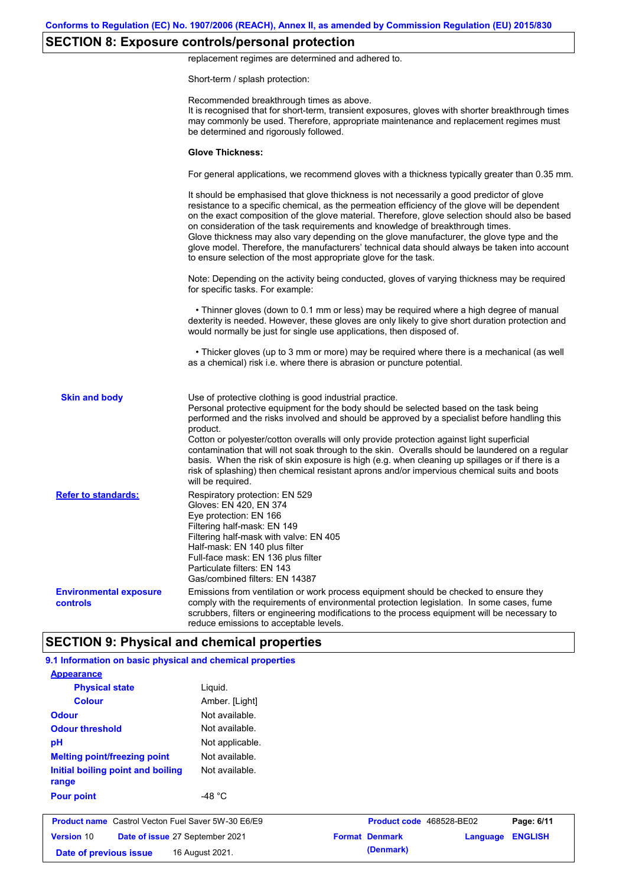# **SECTION 8: Exposure controls/personal protection**

replacement regimes are determined and adhered to.

Short-term / splash protection:

|                                           | Recommended breakthrough times as above.<br>It is recognised that for short-term, transient exposures, gloves with shorter breakthrough times<br>may commonly be used. Therefore, appropriate maintenance and replacement regimes must<br>be determined and rigorously followed.                                                                                                                                                                                                                                                                                                                                                                                                      |
|-------------------------------------------|---------------------------------------------------------------------------------------------------------------------------------------------------------------------------------------------------------------------------------------------------------------------------------------------------------------------------------------------------------------------------------------------------------------------------------------------------------------------------------------------------------------------------------------------------------------------------------------------------------------------------------------------------------------------------------------|
|                                           | <b>Glove Thickness:</b>                                                                                                                                                                                                                                                                                                                                                                                                                                                                                                                                                                                                                                                               |
|                                           | For general applications, we recommend gloves with a thickness typically greater than 0.35 mm.                                                                                                                                                                                                                                                                                                                                                                                                                                                                                                                                                                                        |
|                                           | It should be emphasised that glove thickness is not necessarily a good predictor of glove<br>resistance to a specific chemical, as the permeation efficiency of the glove will be dependent<br>on the exact composition of the glove material. Therefore, glove selection should also be based<br>on consideration of the task requirements and knowledge of breakthrough times.<br>Glove thickness may also vary depending on the glove manufacturer, the glove type and the<br>glove model. Therefore, the manufacturers' technical data should always be taken into account<br>to ensure selection of the most appropriate glove for the task.                                     |
|                                           | Note: Depending on the activity being conducted, gloves of varying thickness may be required<br>for specific tasks. For example:                                                                                                                                                                                                                                                                                                                                                                                                                                                                                                                                                      |
|                                           | • Thinner gloves (down to 0.1 mm or less) may be required where a high degree of manual<br>dexterity is needed. However, these gloves are only likely to give short duration protection and<br>would normally be just for single use applications, then disposed of.                                                                                                                                                                                                                                                                                                                                                                                                                  |
|                                           | • Thicker gloves (up to 3 mm or more) may be required where there is a mechanical (as well<br>as a chemical) risk i.e. where there is abrasion or puncture potential.                                                                                                                                                                                                                                                                                                                                                                                                                                                                                                                 |
| <b>Skin and body</b>                      | Use of protective clothing is good industrial practice.<br>Personal protective equipment for the body should be selected based on the task being<br>performed and the risks involved and should be approved by a specialist before handling this<br>product.<br>Cotton or polyester/cotton overalls will only provide protection against light superficial<br>contamination that will not soak through to the skin. Overalls should be laundered on a regular<br>basis. When the risk of skin exposure is high (e.g. when cleaning up spillages or if there is a<br>risk of splashing) then chemical resistant aprons and/or impervious chemical suits and boots<br>will be required. |
| <b>Refer to standards:</b>                | Respiratory protection: EN 529<br>Gloves: EN 420, EN 374<br>Eye protection: EN 166<br>Filtering half-mask: EN 149<br>Filtering half-mask with valve: EN 405<br>Half-mask: EN 140 plus filter<br>Full-face mask: EN 136 plus filter<br>Particulate filters: EN 143<br>Gas/combined filters: EN 14387                                                                                                                                                                                                                                                                                                                                                                                   |
| <b>Environmental exposure</b><br>controls | Emissions from ventilation or work process equipment should be checked to ensure they<br>comply with the requirements of environmental protection legislation. In some cases, fume<br>scrubbers, filters or engineering modifications to the process equipment will be necessary to<br>reduce emissions to acceptable levels.                                                                                                                                                                                                                                                                                                                                                         |
|                                           | <b>SECTION 9: Physical and chemical properties</b>                                                                                                                                                                                                                                                                                                                                                                                                                                                                                                                                                                                                                                    |

| <b>Appearance</b>                                         |                  |                          |          |                |
|-----------------------------------------------------------|------------------|--------------------------|----------|----------------|
| <b>Physical state</b>                                     | Liguid.          |                          |          |                |
| <b>Colour</b>                                             | Amber. [Light]   |                          |          |                |
| <b>Odour</b>                                              | Not available.   |                          |          |                |
| <b>Odour threshold</b>                                    | Not available.   |                          |          |                |
| pH                                                        | Not applicable.  |                          |          |                |
| <b>Melting point/freezing point</b>                       | Not available.   |                          |          |                |
| Initial boiling point and boiling<br>range                | Not available.   |                          |          |                |
| <b>Pour point</b>                                         | -48 $^{\circ}$ C |                          |          |                |
| <b>Product name</b> Castrol Vecton Fuel Saver 5W-30 E6/E9 |                  | Product code 468528-BE02 |          | Page: 6/11     |
| <b>Version 10</b><br>Date of issue 27 September 2021      |                  | <b>Format Denmark</b>    | Language | <b>ENGLISH</b> |
| Date of previous issue                                    | 16 August 2021.  | (Denmark)                |          |                |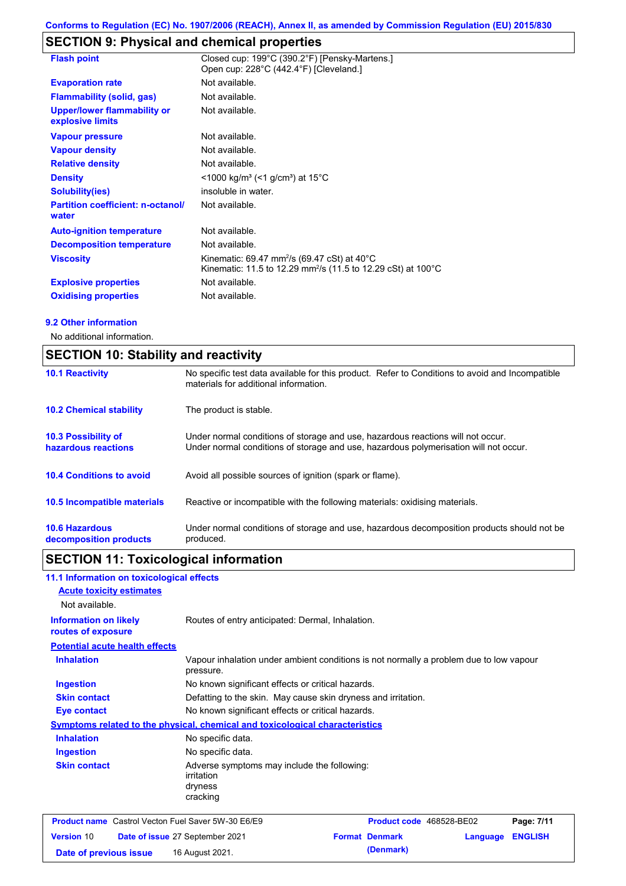# **SECTION 9: Physical and chemical properties**

| <b>Flash point</b>                                     | Closed cup: 199°C (390.2°F) [Pensky-Martens.]<br>Open cup: 228°C (442.4°F) [Cleveland.]                                                                     |
|--------------------------------------------------------|-------------------------------------------------------------------------------------------------------------------------------------------------------------|
| <b>Evaporation rate</b>                                | Not available.                                                                                                                                              |
| <b>Flammability (solid, gas)</b>                       | Not available.                                                                                                                                              |
| <b>Upper/lower flammability or</b><br>explosive limits | Not available.                                                                                                                                              |
| <b>Vapour pressure</b>                                 | Not available.                                                                                                                                              |
| <b>Vapour density</b>                                  | Not available.                                                                                                                                              |
| <b>Relative density</b>                                | Not available.                                                                                                                                              |
| <b>Density</b>                                         | <1000 kg/m <sup>3</sup> (<1 g/cm <sup>3</sup> ) at 15 <sup>°</sup> C                                                                                        |
| Solubility(ies)                                        | insoluble in water.                                                                                                                                         |
| <b>Partition coefficient: n-octanol/</b><br>water      | Not available.                                                                                                                                              |
| <b>Auto-ignition temperature</b>                       | Not available.                                                                                                                                              |
| <b>Decomposition temperature</b>                       | Not available.                                                                                                                                              |
| <b>Viscosity</b>                                       | Kinematic: 69.47 mm <sup>2</sup> /s (69.47 cSt) at 40 $^{\circ}$ C<br>Kinematic: 11.5 to 12.29 mm <sup>2</sup> /s (11.5 to 12.29 cSt) at 100 <sup>°</sup> C |
| <b>Explosive properties</b>                            | Not available.                                                                                                                                              |
| <b>Oxidising properties</b>                            | Not available.                                                                                                                                              |

#### **9.2 Other information**

No additional information.

|                                                 | <b>SECTION 10: Stability and reactivity</b>                                                                                                                             |  |  |
|-------------------------------------------------|-------------------------------------------------------------------------------------------------------------------------------------------------------------------------|--|--|
| <b>10.1 Reactivity</b>                          | No specific test data available for this product. Refer to Conditions to avoid and Incompatible<br>materials for additional information.                                |  |  |
| <b>10.2 Chemical stability</b>                  | The product is stable.                                                                                                                                                  |  |  |
| 10.3 Possibility of<br>hazardous reactions      | Under normal conditions of storage and use, hazardous reactions will not occur.<br>Under normal conditions of storage and use, hazardous polymerisation will not occur. |  |  |
| <b>10.4 Conditions to avoid</b>                 | Avoid all possible sources of ignition (spark or flame).                                                                                                                |  |  |
| 10.5 Incompatible materials                     | Reactive or incompatible with the following materials: oxidising materials.                                                                                             |  |  |
| <b>10.6 Hazardous</b><br>decomposition products | Under normal conditions of storage and use, hazardous decomposition products should not be<br>produced.                                                                 |  |  |

# **SECTION 11: Toxicological information**

| 11.1 Information on toxicological effects                 |                                                                                                     |  |                          |          |                |
|-----------------------------------------------------------|-----------------------------------------------------------------------------------------------------|--|--------------------------|----------|----------------|
| <b>Acute toxicity estimates</b>                           |                                                                                                     |  |                          |          |                |
| Not available.                                            |                                                                                                     |  |                          |          |                |
| <b>Information on likely</b><br>routes of exposure        | Routes of entry anticipated: Dermal, Inhalation.                                                    |  |                          |          |                |
| <b>Potential acute health effects</b>                     |                                                                                                     |  |                          |          |                |
| <b>Inhalation</b>                                         | Vapour inhalation under ambient conditions is not normally a problem due to low vapour<br>pressure. |  |                          |          |                |
| <b>Ingestion</b>                                          | No known significant effects or critical hazards.                                                   |  |                          |          |                |
| <b>Skin contact</b>                                       | Defatting to the skin. May cause skin dryness and irritation.                                       |  |                          |          |                |
| <b>Eye contact</b>                                        | No known significant effects or critical hazards.                                                   |  |                          |          |                |
|                                                           | <b>Symptoms related to the physical, chemical and toxicological characteristics</b>                 |  |                          |          |                |
| <b>Inhalation</b>                                         | No specific data.                                                                                   |  |                          |          |                |
| <b>Ingestion</b>                                          | No specific data.                                                                                   |  |                          |          |                |
| <b>Skin contact</b>                                       | Adverse symptoms may include the following:<br>irritation<br>dryness<br>cracking                    |  |                          |          |                |
| <b>Product name</b> Castrol Vecton Fuel Saver 5W-30 E6/E9 |                                                                                                     |  | Product code 468528-BE02 |          | Page: 7/11     |
| <b>Version 10</b>                                         | Date of issue 27 September 2021                                                                     |  | <b>Format Denmark</b>    | Language | <b>ENGLISH</b> |
| Date of previous issue                                    | 16 August 2021.                                                                                     |  | (Denmark)                |          |                |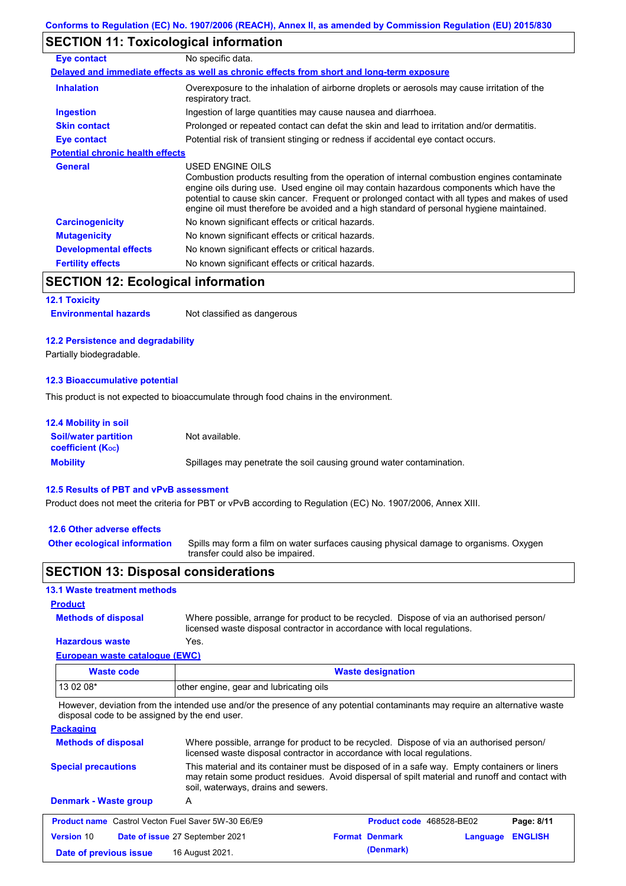# **SECTION 11: Toxicological information**

| Eye contact                             | No specific data.                                                                                                                                                                                                                                                                                                                                                                                        |
|-----------------------------------------|----------------------------------------------------------------------------------------------------------------------------------------------------------------------------------------------------------------------------------------------------------------------------------------------------------------------------------------------------------------------------------------------------------|
|                                         | Delayed and immediate effects as well as chronic effects from short and long-term exposure                                                                                                                                                                                                                                                                                                               |
| <b>Inhalation</b>                       | Overexposure to the inhalation of airborne droplets or aerosols may cause irritation of the<br>respiratory tract.                                                                                                                                                                                                                                                                                        |
| <b>Ingestion</b>                        | Ingestion of large quantities may cause nausea and diarrhoea.                                                                                                                                                                                                                                                                                                                                            |
| <b>Skin contact</b>                     | Prolonged or repeated contact can defat the skin and lead to irritation and/or dermatitis.                                                                                                                                                                                                                                                                                                               |
| Eye contact                             | Potential risk of transient stinging or redness if accidental eye contact occurs.                                                                                                                                                                                                                                                                                                                        |
| <b>Potential chronic health effects</b> |                                                                                                                                                                                                                                                                                                                                                                                                          |
| <b>General</b>                          | USED ENGINE OILS<br>Combustion products resulting from the operation of internal combustion engines contaminate<br>engine oils during use. Used engine oil may contain hazardous components which have the<br>potential to cause skin cancer. Frequent or prolonged contact with all types and makes of used<br>engine oil must therefore be avoided and a high standard of personal hygiene maintained. |
| <b>Carcinogenicity</b>                  | No known significant effects or critical hazards.                                                                                                                                                                                                                                                                                                                                                        |
| <b>Mutagenicity</b>                     | No known significant effects or critical hazards.                                                                                                                                                                                                                                                                                                                                                        |
| <b>Developmental effects</b>            | No known significant effects or critical hazards.                                                                                                                                                                                                                                                                                                                                                        |
| <b>Fertility effects</b>                | No known significant effects or critical hazards.                                                                                                                                                                                                                                                                                                                                                        |

# **SECTION 12: Ecological information**

#### **12.1 Toxicity**

| <b>Environmental hazards</b> | Not classified as dangerous |
|------------------------------|-----------------------------|
|------------------------------|-----------------------------|

#### **12.2 Persistence and degradability**

Partially biodegradable.

#### **12.3 Bioaccumulative potential**

This product is not expected to bioaccumulate through food chains in the environment.

| <b>12.4 Mobility in soil</b>                                  |                                                                      |
|---------------------------------------------------------------|----------------------------------------------------------------------|
| <b>Soil/water partition</b><br>coefficient (K <sub>oc</sub> ) | Not available.                                                       |
| <b>Mobility</b>                                               | Spillages may penetrate the soil causing ground water contamination. |

#### **12.5 Results of PBT and vPvB assessment**

Product does not meet the criteria for PBT or vPvB according to Regulation (EC) No. 1907/2006, Annex XIII.

#### **12.6 Other adverse effects**

**Other ecological information**

**Methods of disposal**

Spills may form a film on water surfaces causing physical damage to organisms. Oxygen transfer could also be impaired.

## **SECTION 13: Disposal considerations**

# **13.1 Waste treatment methods**

#### **Product**

**Hazardous waste** Yes. Where possible, arrange for product to be recycled. Dispose of via an authorised person/ licensed waste disposal contractor in accordance with local regulations.

## **European waste catalogue (EWC)**

| Waste code | <b>Waste designation</b>                |
|------------|-----------------------------------------|
| $130208*$  | other engine, gear and lubricating oils |

However, deviation from the intended use and/or the presence of any potential contaminants may require an alternative waste disposal code to be assigned by the end user.

## **Packaging**

| <b>Methods of disposal</b>                                | Where possible, arrange for product to be recycled. Dispose of via an authorised person/<br>licensed waste disposal contractor in accordance with local regulations.                                                                    |  |                                 |          |                |
|-----------------------------------------------------------|-----------------------------------------------------------------------------------------------------------------------------------------------------------------------------------------------------------------------------------------|--|---------------------------------|----------|----------------|
| <b>Special precautions</b>                                | This material and its container must be disposed of in a safe way. Empty containers or liners<br>may retain some product residues. Avoid dispersal of spilt material and runoff and contact with<br>soil, waterways, drains and sewers. |  |                                 |          |                |
| <b>Denmark - Waste group</b>                              | A                                                                                                                                                                                                                                       |  |                                 |          |                |
| <b>Product name</b> Castrol Vecton Fuel Saver 5W-30 E6/E9 |                                                                                                                                                                                                                                         |  | <b>Product code</b> 468528-BE02 |          | Page: 8/11     |
| <b>Version 10</b>                                         | Date of issue 27 September 2021                                                                                                                                                                                                         |  | <b>Format Denmark</b>           | Language | <b>ENGLISH</b> |
| Date of previous issue                                    | 16 August 2021.                                                                                                                                                                                                                         |  | (Denmark)                       |          |                |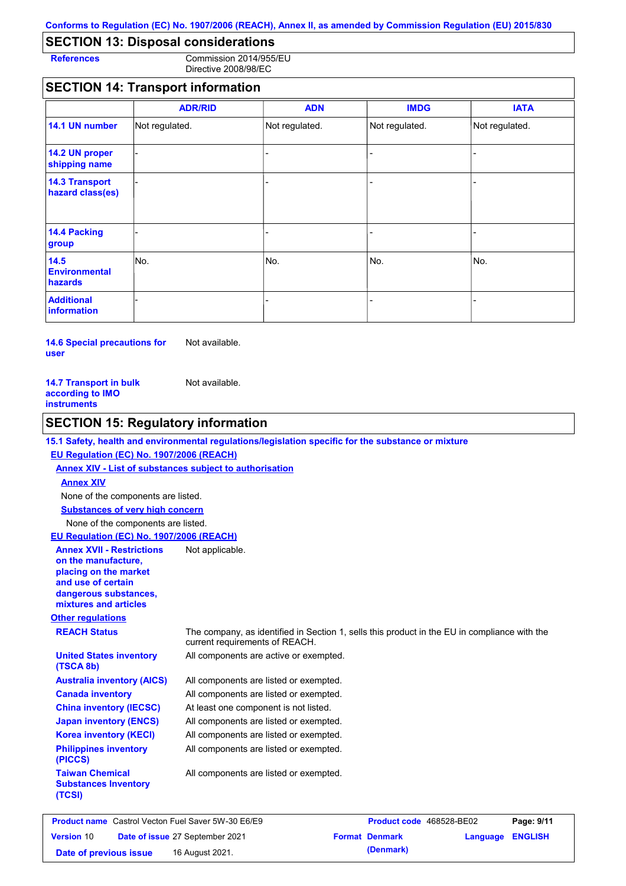# **SECTION 13: Disposal considerations**

**References** Commission 2014/955/EU Directive 2008/98/EC

# **SECTION 14: Transport information**

|                                           | <b>ADR/RID</b> | <b>ADN</b>     | <b>IMDG</b>    | <b>IATA</b>    |
|-------------------------------------------|----------------|----------------|----------------|----------------|
| 14.1 UN number                            | Not regulated. | Not regulated. | Not regulated. | Not regulated. |
| 14.2 UN proper<br>shipping name           |                |                |                |                |
| <b>14.3 Transport</b><br>hazard class(es) |                |                | ÷              |                |
| 14.4 Packing<br>group                     |                |                |                |                |
| 14.5<br><b>Environmental</b><br>hazards   | No.            | No.            | No.            | INo.           |
| <b>Additional</b><br><b>information</b>   |                |                |                |                |

**14.6 Special precautions for user** Not available.

| <b>14.7 Transport in bulk</b> | Not available. |
|-------------------------------|----------------|
| according to IMO              |                |
| instruments                   |                |

# **SECTION 15: Regulatory information**

#### **15.1 Safety, health and environmental regulations/legislation specific for the substance or mixture**

#### **EU Regulation (EC) No. 1907/2006 (REACH)**

**Annex XIV - List of substances subject to authorisation Substances of very high concern** None of the components are listed. None of the components are listed. **Annex XIV EU Regulation (EC) No. 1907/2006 (REACH) Annex XVII - Restrictions**  Not applicable.

**on the manufacture, placing on the market and use of certain dangerous substances, mixtures and articles**

#### **Other regulations**

**Taiwan Chemical Substances Inventory** 

**(TCSI)**

**(TSCA 8b)**

**REACH Status** The company, as identified in Section 1, sells this product in the EU in compliance with the current requirements of REACH.

All components are active or exempted. **United States inventory** 

| <b>Australia inventory (AICS)</b>       | All components are listed or exempted. |
|-----------------------------------------|----------------------------------------|
| <b>Canada inventory</b>                 | All components are listed or exempted. |
| <b>China inventory (IECSC)</b>          | At least one component is not listed.  |
| <b>Japan inventory (ENCS)</b>           | All components are listed or exempted. |
| <b>Korea inventory (KECI)</b>           | All components are listed or exempted. |
| <b>Philippines inventory</b><br>(PICCS) | All components are listed or exempted. |

All components are listed or exempted.

|                        | <b>Product name</b> Castrol Vecton Fuel Saver 5W-30 E6/E9 | <b>Product code</b> 468528-BE02 |                         | Page: 9/11 |
|------------------------|-----------------------------------------------------------|---------------------------------|-------------------------|------------|
| <b>Version 10</b>      | Date of issue 27 September 2021                           | <b>Format Denmark</b>           | <b>Language ENGLISH</b> |            |
| Date of previous issue | 16 August 2021.                                           | (Denmark)                       |                         |            |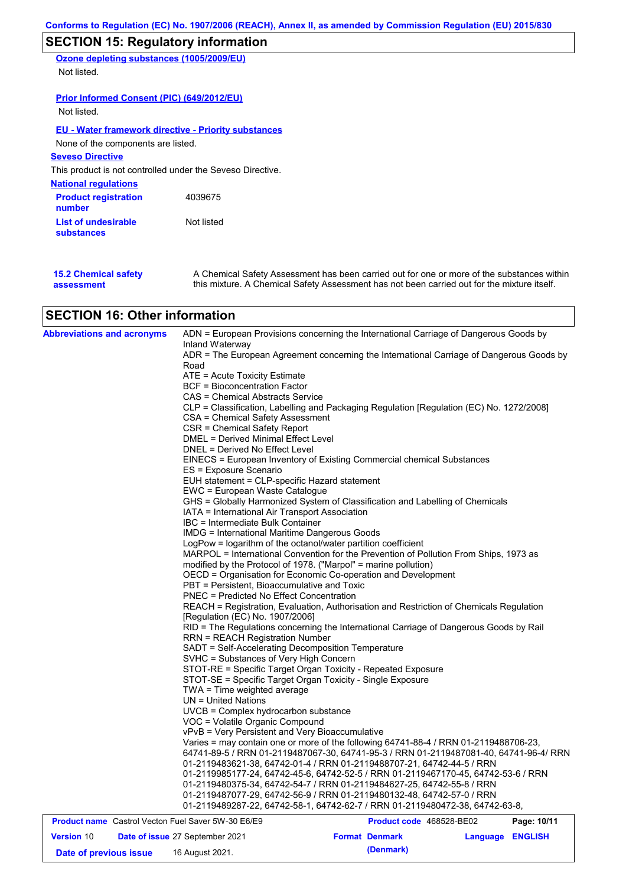# **SECTION 15: Regulatory information**

**Ozone depleting substances (1005/2009/EU)** Not listed.

**Prior Informed Consent (PIC) (649/2012/EU)** Not listed.

#### **EU - Water framework directive - Priority substances**

None of the components are listed.

## **Seveso Directive**

This product is not controlled under the Seveso Directive.

| <b>National regulations</b>           |            |
|---------------------------------------|------------|
| <b>Product registration</b><br>number | 4039675    |
| List of undesirable<br>substances     | Not listed |

**15.2 Chemical safety assessment** A Chemical Safety Assessment has been carried out for one or more of the substances within this mixture. A Chemical Safety Assessment has not been carried out for the mixture itself.

# **SECTION 16: Other information**

| <b>Abbreviations and acronyms</b>                         |                                                                                                                                                                                                                            | ADN = European Provisions concerning the International Carriage of Dangerous Goods by                                                          |                  |             |  |  |  |  |
|-----------------------------------------------------------|----------------------------------------------------------------------------------------------------------------------------------------------------------------------------------------------------------------------------|------------------------------------------------------------------------------------------------------------------------------------------------|------------------|-------------|--|--|--|--|
|                                                           | Inland Waterway                                                                                                                                                                                                            | ADR = The European Agreement concerning the International Carriage of Dangerous Goods by                                                       |                  |             |  |  |  |  |
|                                                           | Road                                                                                                                                                                                                                       |                                                                                                                                                |                  |             |  |  |  |  |
|                                                           | ATE = Acute Toxicity Estimate                                                                                                                                                                                              |                                                                                                                                                |                  |             |  |  |  |  |
|                                                           | <b>BCF</b> = Bioconcentration Factor                                                                                                                                                                                       |                                                                                                                                                |                  |             |  |  |  |  |
|                                                           | CAS = Chemical Abstracts Service                                                                                                                                                                                           |                                                                                                                                                |                  |             |  |  |  |  |
|                                                           |                                                                                                                                                                                                                            | CLP = Classification, Labelling and Packaging Regulation [Regulation (EC) No. 1272/2008]                                                       |                  |             |  |  |  |  |
|                                                           | CSA = Chemical Safety Assessment                                                                                                                                                                                           |                                                                                                                                                |                  |             |  |  |  |  |
|                                                           | CSR = Chemical Safety Report                                                                                                                                                                                               |                                                                                                                                                |                  |             |  |  |  |  |
|                                                           | DMEL = Derived Minimal Effect Level                                                                                                                                                                                        |                                                                                                                                                |                  |             |  |  |  |  |
|                                                           | DNEL = Derived No Effect Level                                                                                                                                                                                             |                                                                                                                                                |                  |             |  |  |  |  |
|                                                           |                                                                                                                                                                                                                            | EINECS = European Inventory of Existing Commercial chemical Substances                                                                         |                  |             |  |  |  |  |
|                                                           | ES = Exposure Scenario                                                                                                                                                                                                     |                                                                                                                                                |                  |             |  |  |  |  |
|                                                           | EUH statement = CLP-specific Hazard statement                                                                                                                                                                              |                                                                                                                                                |                  |             |  |  |  |  |
|                                                           | EWC = European Waste Catalogue                                                                                                                                                                                             |                                                                                                                                                |                  |             |  |  |  |  |
|                                                           | GHS = Globally Harmonized System of Classification and Labelling of Chemicals                                                                                                                                              |                                                                                                                                                |                  |             |  |  |  |  |
|                                                           | IATA = International Air Transport Association                                                                                                                                                                             |                                                                                                                                                |                  |             |  |  |  |  |
|                                                           | IBC = Intermediate Bulk Container                                                                                                                                                                                          |                                                                                                                                                |                  |             |  |  |  |  |
|                                                           | IMDG = International Maritime Dangerous Goods                                                                                                                                                                              |                                                                                                                                                |                  |             |  |  |  |  |
|                                                           | LogPow = logarithm of the octanol/water partition coefficient                                                                                                                                                              |                                                                                                                                                |                  |             |  |  |  |  |
|                                                           | MARPOL = International Convention for the Prevention of Pollution From Ships, 1973 as                                                                                                                                      |                                                                                                                                                |                  |             |  |  |  |  |
|                                                           | modified by the Protocol of 1978. ("Marpol" = marine pollution)                                                                                                                                                            |                                                                                                                                                |                  |             |  |  |  |  |
|                                                           | OECD = Organisation for Economic Co-operation and Development                                                                                                                                                              |                                                                                                                                                |                  |             |  |  |  |  |
|                                                           | PBT = Persistent, Bioaccumulative and Toxic<br><b>PNEC = Predicted No Effect Concentration</b>                                                                                                                             |                                                                                                                                                |                  |             |  |  |  |  |
|                                                           | REACH = Registration, Evaluation, Authorisation and Restriction of Chemicals Regulation                                                                                                                                    |                                                                                                                                                |                  |             |  |  |  |  |
|                                                           | [Regulation (EC) No. 1907/2006]                                                                                                                                                                                            |                                                                                                                                                |                  |             |  |  |  |  |
|                                                           |                                                                                                                                                                                                                            | RID = The Regulations concerning the International Carriage of Dangerous Goods by Rail                                                         |                  |             |  |  |  |  |
|                                                           | <b>RRN = REACH Registration Number</b>                                                                                                                                                                                     |                                                                                                                                                |                  |             |  |  |  |  |
|                                                           | SADT = Self-Accelerating Decomposition Temperature<br>SVHC = Substances of Very High Concern<br>STOT-RE = Specific Target Organ Toxicity - Repeated Exposure<br>STOT-SE = Specific Target Organ Toxicity - Single Exposure |                                                                                                                                                |                  |             |  |  |  |  |
|                                                           |                                                                                                                                                                                                                            |                                                                                                                                                |                  |             |  |  |  |  |
|                                                           |                                                                                                                                                                                                                            |                                                                                                                                                |                  |             |  |  |  |  |
|                                                           |                                                                                                                                                                                                                            |                                                                                                                                                |                  |             |  |  |  |  |
|                                                           | TWA = Time weighted average                                                                                                                                                                                                |                                                                                                                                                |                  |             |  |  |  |  |
|                                                           | $UN = United Nations$                                                                                                                                                                                                      |                                                                                                                                                |                  |             |  |  |  |  |
|                                                           | $UVCB = Complex\;hydrocarbon\; substance$                                                                                                                                                                                  |                                                                                                                                                |                  |             |  |  |  |  |
|                                                           | VOC = Volatile Organic Compound                                                                                                                                                                                            |                                                                                                                                                |                  |             |  |  |  |  |
|                                                           | vPvB = Very Persistent and Very Bioaccumulative                                                                                                                                                                            |                                                                                                                                                |                  |             |  |  |  |  |
|                                                           | Varies = may contain one or more of the following 64741-88-4 / RRN 01-2119488706-23,                                                                                                                                       |                                                                                                                                                |                  |             |  |  |  |  |
|                                                           | 64741-89-5 / RRN 01-2119487067-30, 64741-95-3 / RRN 01-2119487081-40, 64741-96-4/ RRN                                                                                                                                      |                                                                                                                                                |                  |             |  |  |  |  |
|                                                           |                                                                                                                                                                                                                            | 01-2119483621-38, 64742-01-4 / RRN 01-2119488707-21, 64742-44-5 / RRN                                                                          |                  |             |  |  |  |  |
|                                                           |                                                                                                                                                                                                                            | 01-2119985177-24, 64742-45-6, 64742-52-5 / RRN 01-2119467170-45, 64742-53-6 / RRN                                                              |                  |             |  |  |  |  |
|                                                           |                                                                                                                                                                                                                            | 01-2119480375-34, 64742-54-7 / RRN 01-2119484627-25, 64742-55-8 / RRN<br>01-2119487077-29, 64742-56-9 / RRN 01-2119480132-48, 64742-57-0 / RRN |                  |             |  |  |  |  |
|                                                           |                                                                                                                                                                                                                            | 01-2119489287-22, 64742-58-1, 64742-62-7 / RRN 01-2119480472-38, 64742-63-8,                                                                   |                  |             |  |  |  |  |
| <b>Product name</b> Castrol Vecton Fuel Saver 5W-30 E6/E9 |                                                                                                                                                                                                                            |                                                                                                                                                |                  |             |  |  |  |  |
|                                                           |                                                                                                                                                                                                                            | Product code 468528-BE02                                                                                                                       |                  | Page: 10/11 |  |  |  |  |
| Version 10                                                | Date of issue 27 September 2021                                                                                                                                                                                            | <b>Format Denmark</b><br>(Denmark)                                                                                                             | Language ENGLISH |             |  |  |  |  |
| Date of previous issue                                    | 16 August 2021.                                                                                                                                                                                                            |                                                                                                                                                |                  |             |  |  |  |  |